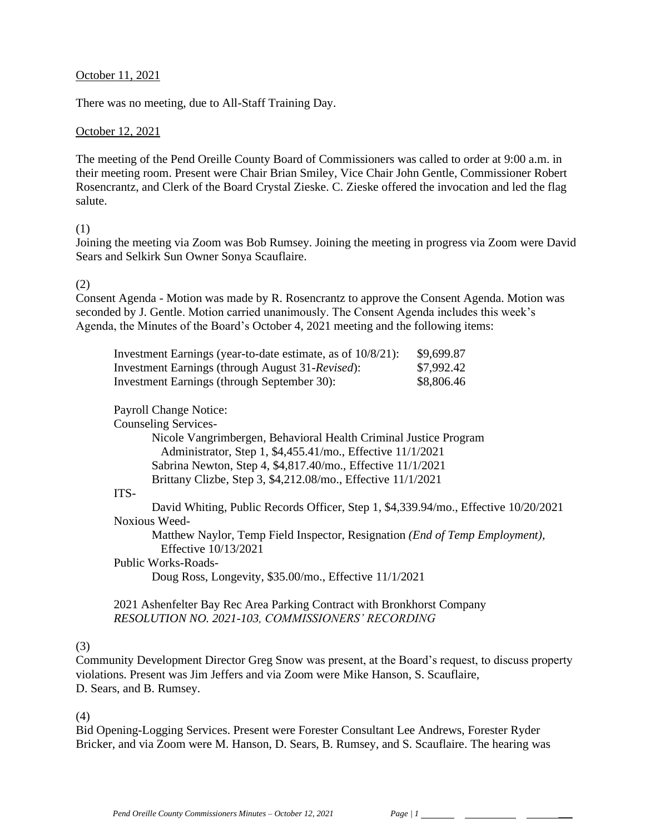#### October 11, 2021

There was no meeting, due to All-Staff Training Day.

#### October 12, 2021

The meeting of the Pend Oreille County Board of Commissioners was called to order at 9:00 a.m. in their meeting room. Present were Chair Brian Smiley, Vice Chair John Gentle, Commissioner Robert Rosencrantz, and Clerk of the Board Crystal Zieske. C. Zieske offered the invocation and led the flag salute.

#### (1)

Joining the meeting via Zoom was Bob Rumsey. Joining the meeting in progress via Zoom were David Sears and Selkirk Sun Owner Sonya Scauflaire.

#### (2)

Consent Agenda - Motion was made by R. Rosencrantz to approve the Consent Agenda. Motion was seconded by J. Gentle. Motion carried unanimously. The Consent Agenda includes this week's Agenda, the Minutes of the Board's October 4, 2021 meeting and the following items:

| Investment Earnings (year-to-date estimate, as of $10/8/21$ ): | \$9,699.87 |
|----------------------------------------------------------------|------------|
| Investment Earnings (through August 31-Revised):               | \$7,992.42 |
| <b>Investment Earnings (through September 30):</b>             | \$8,806.46 |

### Payroll Change Notice:

Counseling Services-

Nicole Vangrimbergen, Behavioral Health Criminal Justice Program Administrator, Step 1, \$4,455.41/mo., Effective 11/1/2021 Sabrina Newton, Step 4, \$4,817.40/mo., Effective 11/1/2021 Brittany Clizbe, Step 3, \$4,212.08/mo., Effective 11/1/2021

#### ITS-

David Whiting, Public Records Officer, Step 1, \$4,339.94/mo., Effective 10/20/2021 Noxious Weed-

Matthew Naylor, Temp Field Inspector, Resignation *(End of Temp Employment),* Effective 10/13/2021

Public Works-Roads-

Doug Ross, Longevity, \$35.00/mo., Effective 11/1/2021

2021 Ashenfelter Bay Rec Area Parking Contract with Bronkhorst Company *RESOLUTION NO. 2021-103, COMMISSIONERS' RECORDING* 

#### (3)

Community Development Director Greg Snow was present, at the Board's request, to discuss property violations. Present was Jim Jeffers and via Zoom were Mike Hanson, S. Scauflaire, D. Sears, and B. Rumsey.

(4)

Bid Opening-Logging Services. Present were Forester Consultant Lee Andrews, Forester Ryder Bricker, and via Zoom were M. Hanson, D. Sears, B. Rumsey, and S. Scauflaire. The hearing was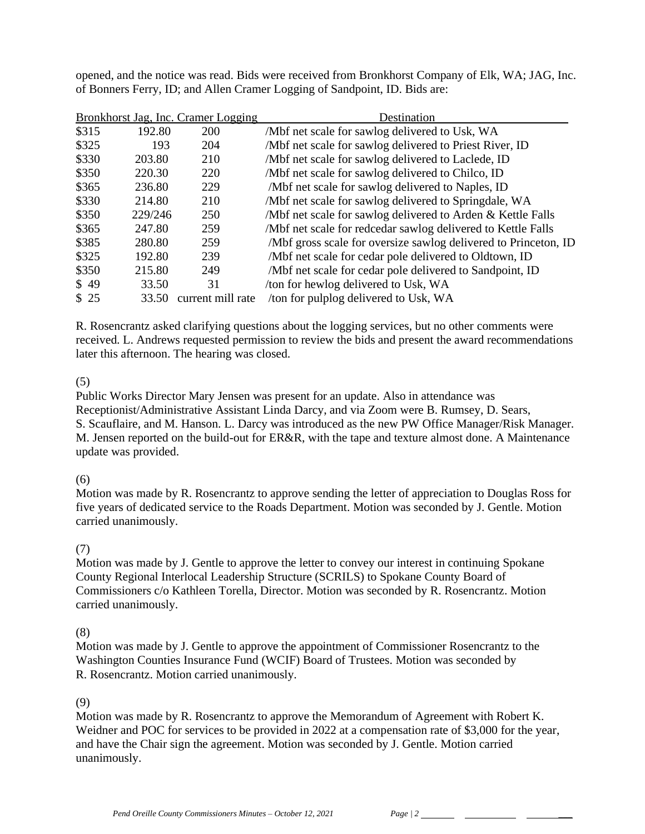opened, and the notice was read. Bids were received from Bronkhorst Company of Elk, WA; JAG, Inc. of Bonners Ferry, ID; and Allen Cramer Logging of Sandpoint, ID. Bids are:

|       |         | Bronkhorst Jag, Inc. Cramer Logging | Destination                                                     |
|-------|---------|-------------------------------------|-----------------------------------------------------------------|
| \$315 | 192.80  | 200                                 | /Mbf net scale for sawlog delivered to Usk, WA                  |
| \$325 | 193     | 204                                 | /Mbf net scale for sawlog delivered to Priest River, ID         |
| \$330 | 203.80  | 210                                 | /Mbf net scale for sawlog delivered to Laclede, ID              |
| \$350 | 220.30  | 220                                 | /Mbf net scale for sawlog delivered to Chilco, ID               |
| \$365 | 236.80  | 229                                 | /Mbf net scale for sawlog delivered to Naples, ID               |
| \$330 | 214.80  | 210                                 | /Mbf net scale for sawlog delivered to Springdale, WA           |
| \$350 | 229/246 | 250                                 | /Mbf net scale for sawlog delivered to Arden & Kettle Falls     |
| \$365 | 247.80  | 259                                 | /Mbf net scale for redcedar sawlog delivered to Kettle Falls    |
| \$385 | 280.80  | 259                                 | /Mbf gross scale for oversize sawlog delivered to Princeton, ID |
| \$325 | 192.80  | 239                                 | /Mbf net scale for cedar pole delivered to Oldtown, ID          |
| \$350 | 215.80  | 249                                 | /Mbf net scale for cedar pole delivered to Sandpoint, ID        |
| \$49  | 33.50   | 31                                  | /ton for hewlog delivered to Usk, WA                            |
| \$25  | 33.50   | current mill rate                   | /ton for pulplog delivered to Usk, WA                           |

R. Rosencrantz asked clarifying questions about the logging services, but no other comments were received. L. Andrews requested permission to review the bids and present the award recommendations later this afternoon. The hearing was closed.

## (5)

Public Works Director Mary Jensen was present for an update. Also in attendance was Receptionist/Administrative Assistant Linda Darcy, and via Zoom were B. Rumsey, D. Sears, S. Scauflaire, and M. Hanson. L. Darcy was introduced as the new PW Office Manager/Risk Manager. M. Jensen reported on the build-out for ER&R, with the tape and texture almost done. A Maintenance update was provided.

## (6)

Motion was made by R. Rosencrantz to approve sending the letter of appreciation to Douglas Ross for five years of dedicated service to the Roads Department. Motion was seconded by J. Gentle. Motion carried unanimously.

#### (7)

Motion was made by J. Gentle to approve the letter to convey our interest in continuing Spokane County Regional Interlocal Leadership Structure (SCRILS) to Spokane County Board of Commissioners c/o Kathleen Torella, Director. Motion was seconded by R. Rosencrantz. Motion carried unanimously.

#### (8)

Motion was made by J. Gentle to approve the appointment of Commissioner Rosencrantz to the Washington Counties Insurance Fund (WCIF) Board of Trustees. Motion was seconded by R. Rosencrantz. Motion carried unanimously.

### (9)

Motion was made by R. Rosencrantz to approve the Memorandum of Agreement with Robert K. Weidner and POC for services to be provided in 2022 at a compensation rate of \$3,000 for the year, and have the Chair sign the agreement. Motion was seconded by J. Gentle. Motion carried unanimously.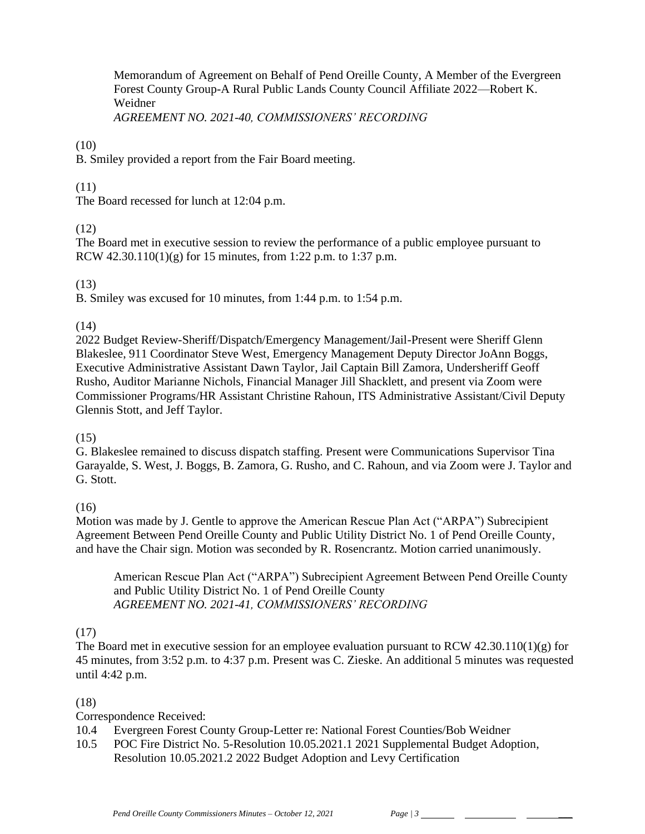Memorandum of Agreement on Behalf of Pend Oreille County, A Member of the Evergreen Forest County Group-A Rural Public Lands County Council Affiliate 2022—Robert K. Weidner *AGREEMENT NO. 2021-40, COMMISSIONERS' RECORDING*

## (10)

B. Smiley provided a report from the Fair Board meeting.

## (11)

The Board recessed for lunch at 12:04 p.m.

## (12)

The Board met in executive session to review the performance of a public employee pursuant to RCW  $42.30.110(1)(g)$  for 15 minutes, from 1:22 p.m. to 1:37 p.m.

## (13)

B. Smiley was excused for 10 minutes, from 1:44 p.m. to 1:54 p.m.

## (14)

2022 Budget Review-Sheriff/Dispatch/Emergency Management/Jail-Present were Sheriff Glenn Blakeslee, 911 Coordinator Steve West, Emergency Management Deputy Director JoAnn Boggs, Executive Administrative Assistant Dawn Taylor, Jail Captain Bill Zamora, Undersheriff Geoff Rusho, Auditor Marianne Nichols, Financial Manager Jill Shacklett, and present via Zoom were Commissioner Programs/HR Assistant Christine Rahoun, ITS Administrative Assistant/Civil Deputy Glennis Stott, and Jeff Taylor.

## (15)

G. Blakeslee remained to discuss dispatch staffing. Present were Communications Supervisor Tina Garayalde, S. West, J. Boggs, B. Zamora, G. Rusho, and C. Rahoun, and via Zoom were J. Taylor and G. Stott.

# (16)

Motion was made by J. Gentle to approve the American Rescue Plan Act ("ARPA") Subrecipient Agreement Between Pend Oreille County and Public Utility District No. 1 of Pend Oreille County, and have the Chair sign. Motion was seconded by R. Rosencrantz. Motion carried unanimously.

American Rescue Plan Act ("ARPA") Subrecipient Agreement Between Pend Oreille County and Public Utility District No. 1 of Pend Oreille County *AGREEMENT NO. 2021-41, COMMISSIONERS' RECORDING*

# (17)

The Board met in executive session for an employee evaluation pursuant to RCW 42.30.110(1)(g) for 45 minutes, from 3:52 p.m. to 4:37 p.m. Present was C. Zieske. An additional 5 minutes was requested until 4:42 p.m.

# (18)

# Correspondence Received:

10.4 Evergreen Forest County Group-Letter re: National Forest Counties/Bob Weidner

10.5 POC Fire District No. 5-Resolution 10.05.2021.1 2021 Supplemental Budget Adoption, Resolution 10.05.2021.2 2022 Budget Adoption and Levy Certification